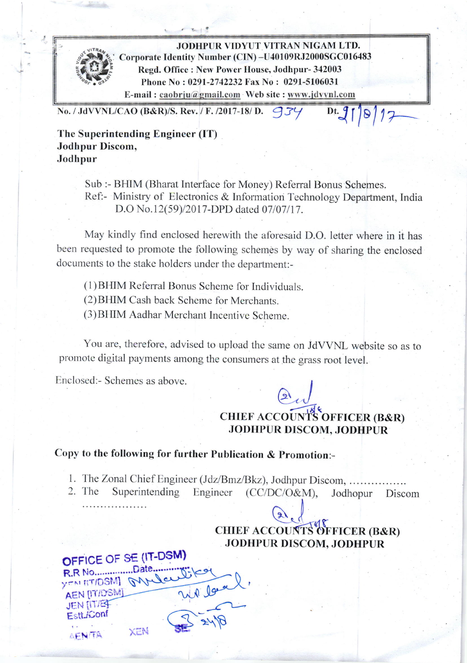

l-

JODHPUR VIDYUT VITRAN NIGAM LTD. Corporate Identity Number (CIN) -U40109RJ2000SGC016483 Regd. Office : New Power House, Jodhpur- 342003 Phone No : 0291-2742232 Fax No : 0291-5106031 E-mail : caobrju@gmail.com Web site : www.jdvvnl.com

No. / JdVVNL/CAO (B&R)/S. Rev. / F. /2017-18/ D.  $\mathcal{G}$ 34

Dt.  $91$  $|8|17$ 

The Superintending Engineer (IT) Jodhpur Discom, Jodhpur

> Sub :- BHIM (Bharat Interface for Money) Referral Bonus Schemes. Ref:- Ministry of Electronics & Information Technology Department, India D.O No.12(59)/2017-DPD dated 07/07/17.

May kindly find encloscd herewith the aforesaid D.O. letter where in it has been requested to promote the following schemes by way of sharing the enclosed documents to the stake holders under the department:-

(1) BHIM Referral Bonus Scheme for Individuals.

(2)BIIIM Cash back Schcme for Merchants.

(3)BIIIM Aadhar Merchant Incentive Scheme.

You are, therefore, advised to upload the same on JdVVNL website so as to promote digital payments among the consumers at the grass root level.

Enclosed: Schemes as above.

## $\Omega_{\mu\nu}$ CHIEF ACCOUNTS OFFICER (B&R) JODHPUR DISCOM, JODHPUR

## Copy to the following for further Publication  $&$  Promotion:-

1. The Zonal Chief Engineer (Jdz/Bmz/Bkz), Jodhpur Discom,

The Superintending Engineer Engineer (CC/DC/O&M), Jodhopur Discom 2. The

## CHIEF ACCOUNTS OFFICER (B&R) JODHPUR DISCOM, JODHPUR

OFFICE OF SE (IT-DSM) R.R No.................Date.... YOM ITIDSM GArler Wilbert **AEN [IT/DSM] JEN [IT/EF** Estt.*K*onf SE. **XEN** AEN/TA